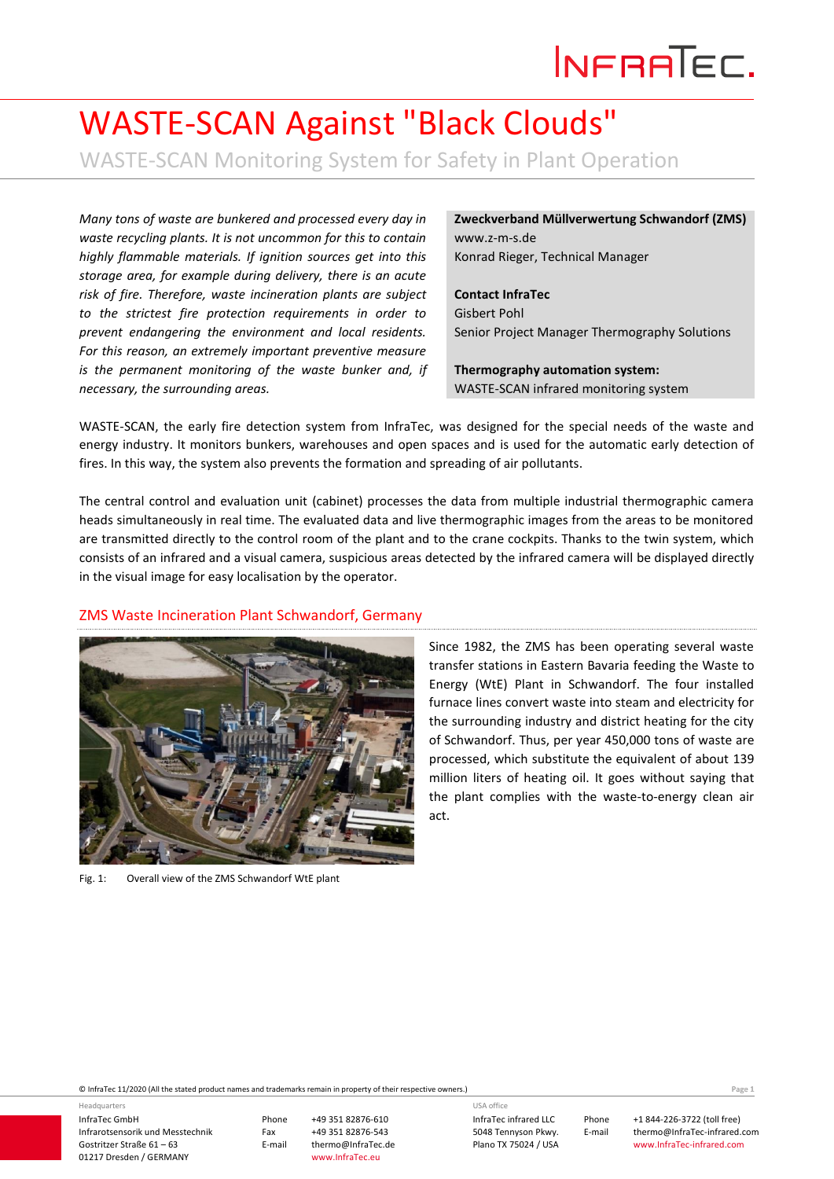# INFRATEC.

## WASTE-SCAN Against "Black Clouds"

WASTE-SCAN Monitoring System for Safety in Plant Operation

*Many tons of waste are bunkered and processed every day in waste recycling plants. It is not uncommon for this to contain highly flammable materials. If ignition sources get into this storage area, for example during delivery, there is an acute risk of fire. Therefore, waste incineration plants are subject to the strictest fire protection requirements in order to prevent endangering the environment and local residents. For this reason, an extremely important preventive measure is the permanent monitoring of the waste bunker and, if necessary, the surrounding areas.*

**Zweckverband Müllverwertung Schwandorf (ZMS)** www.z-m-s.de Konrad Rieger, Technical Manager

**Contact InfraTec** Gisbert Pohl Senior Project Manager Thermography Solutions

**Thermography automation system:**  WASTE-SCAN infrared monitoring system

WASTE-SCAN, the early fire detection system from InfraTec, was designed for the special needs of the waste and energy industry. It monitors bunkers, warehouses and open spaces and is used for the automatic early detection of fires. In this way, the system also prevents the formation and spreading of air pollutants.

The central control and evaluation unit (cabinet) processes the data from multiple industrial thermographic camera heads simultaneously in real time. The evaluated data and live thermographic images from the areas to be monitored are transmitted directly to the control room of the plant and to the crane cockpits. Thanks to the twin system, which consists of an infrared and a visual camera, suspicious areas detected by the infrared camera will be displayed directly in the visual image for easy localisation by the operator.

#### ZMS Waste Incineration Plant Schwandorf, Germany



Fig. 1: Overall view of the ZMS Schwandorf WtE plant

Since 1982, the ZMS has been operating several waste transfer stations in Eastern Bavaria feeding the Waste to Energy (WtE) Plant in Schwandorf. The four installed furnace lines convert waste into steam and electricity for the surrounding industry and district heating for the city of Schwandorf. Thus, per year 450,000 tons of waste are processed, which substitute the equivalent of about 139 million liters of heating oil. It goes without saying that the plant complies with the waste-to-energy clean air act.

© InfraTec 11/2020 (All the stated product names and trademarks remain in property of their respective owners.) Page **1**

InfraTec GmbH Infrarotsensorik und Messtechnik Gostritzer Straße 61 – 63 01217 Dresden / GERMANY Headquarters

Phone +49 351 82876-610 Fax +49 351 82876-543 thermo@InfraTec.de www.InfraTec.eu

InfraTec infrared LLC 5048 Tennyson Pkwy. Plano TX 75024 / USA USA office

Phone +1 844-226-3722 (toll free) E-mail thermo@InfraTec-infrared.com www.InfraTec-infrared.com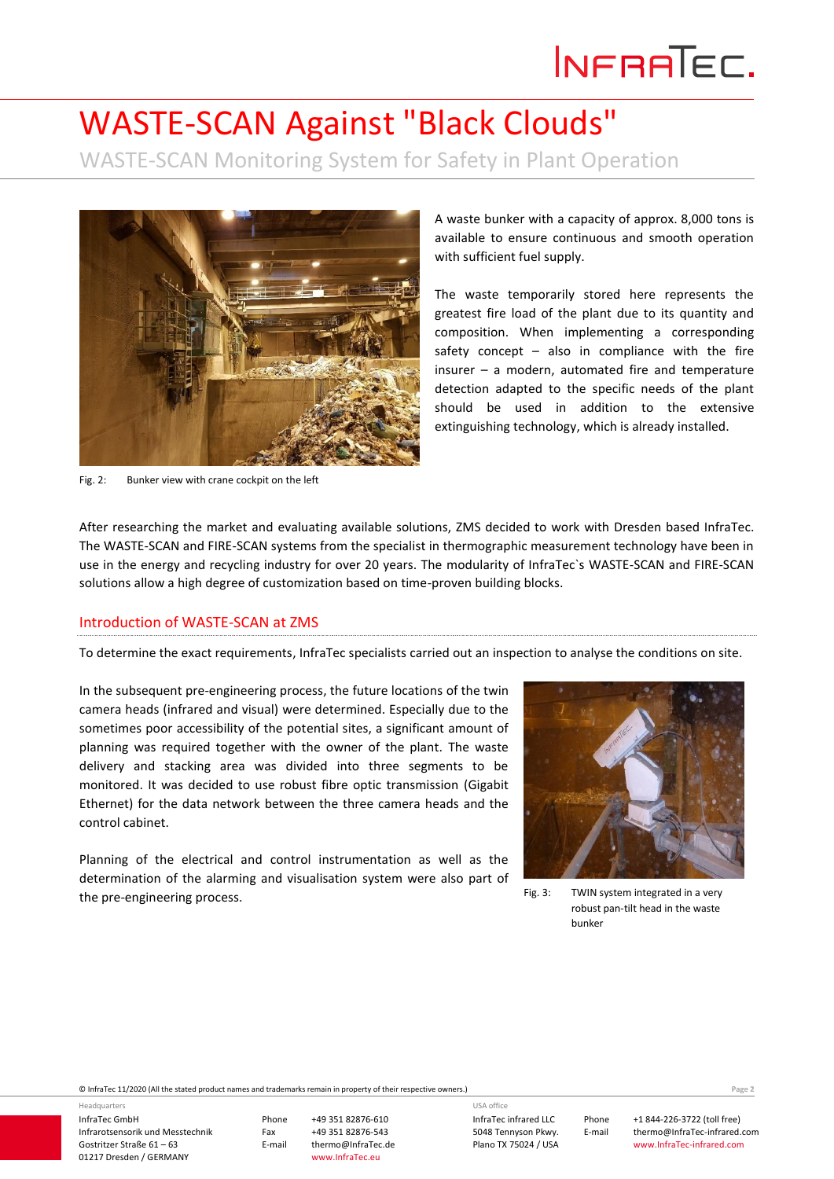# INFRATEC.

### WASTE-SCAN Against "Black Clouds"

WASTE-SCAN Monitoring System for Safety in Plant Operation



A waste bunker with a capacity of approx. 8,000 tons is available to ensure continuous and smooth operation with sufficient fuel supply.

The waste temporarily stored here represents the greatest fire load of the plant due to its quantity and composition. When implementing a corresponding safety concept  $-$  also in compliance with the fire insurer – a modern, automated fire and temperature detection adapted to the specific needs of the plant should be used in addition to the extensive extinguishing technology, which is already installed.

Fig. 2: Bunker view with crane cockpit on the left

After researching the market and evaluating available solutions, ZMS decided to work with Dresden based InfraTec. The WASTE-SCAN and FIRE-SCAN systems from the specialist in thermographic measurement technology have been in use in the energy and recycling industry for over 20 years. The modularity of InfraTec`s WASTE-SCAN and FIRE-SCAN solutions allow a high degree of customization based on time-proven building blocks.

#### Introduction of WASTE-SCAN at ZMS

To determine the exact requirements, InfraTec specialists carried out an inspection to analyse the conditions on site.

In the subsequent pre-engineering process, the future locations of the twin camera heads (infrared and visual) were determined. Especially due to the sometimes poor accessibility of the potential sites, a significant amount of planning was required together with the owner of the plant. The waste delivery and stacking area was divided into three segments to be monitored. It was decided to use robust fibre optic transmission (Gigabit Ethernet) for the data network between the three camera heads and the control cabinet.

Planning of the electrical and control instrumentation as well as the determination of the alarming and visualisation system were also part of the pre-engineering process.<br>
Fig. 3: TWIN system integrated in a very



robust pan-tilt head in the waste bunker

© InfraTec 11/2020 (All the stated product names and trademarks remain in property of their respective owners.) Page **2**

InfraTec GmbH Infrarotsensorik und Messtechnik Gostritzer Straße 61 – 63 01217 Dresden / GERMANY

Headquarters

Phone +49 351 82876-610 Fax +49 351 82876-543 thermo@InfraTec.de www.InfraTec.eu

InfraTec infrared LLC 5048 Tennyson Pkwy. Plano TX 75024 / USA USA office

Phone +1 844-226-3722 (toll free) E-mail thermo@InfraTec-infrared.com www.InfraTec-infrared.com